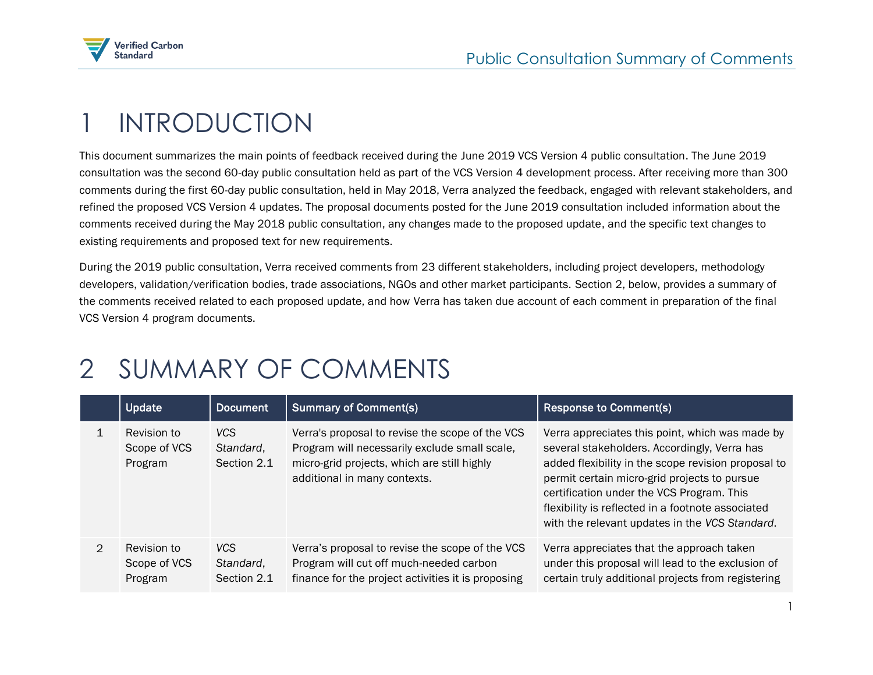

## 1 INTRODUCTION

This document summarizes the main points of feedback received during the June 2019 VCS Version 4 public consultation. The June 2019 consultation was the second 60-day public consultation held as part of the VCS Version 4 development process. After receiving more than 300 comments during the first 60-day public consultation, held in May 2018, Verra analyzed the feedback, engaged with relevant stakeholders, and refined the proposed VCS Version 4 updates. The proposal documents posted for the June 2019 consultation included information about the comments received during the May 2018 public consultation, any changes made to the proposed update, and the specific text changes to existing requirements and proposed text for new requirements.

During the 2019 public consultation, Verra received comments from 23 different stakeholders, including project developers, methodology developers, validation/verification bodies, trade associations, NGOs and other market participants. Section 2, below, provides a summary of the comments received related to each proposed update, and how Verra has taken due account of each comment in preparation of the final VCS Version 4 program documents.

## 2 SUMMARY OF COMMENTS

|               | Update                                 | <b>Document</b>                        | <b>Summary of Comment(s)</b>                                                                                                                                                    | <b>Response to Comment(s)</b>                                                                                                                                                                                                                                                                                                                              |
|---------------|----------------------------------------|----------------------------------------|---------------------------------------------------------------------------------------------------------------------------------------------------------------------------------|------------------------------------------------------------------------------------------------------------------------------------------------------------------------------------------------------------------------------------------------------------------------------------------------------------------------------------------------------------|
|               | Revision to<br>Scope of VCS<br>Program | VCS.<br>Standard,<br>Section 2.1       | Verra's proposal to revise the scope of the VCS<br>Program will necessarily exclude small scale,<br>micro-grid projects, which are still highly<br>additional in many contexts. | Verra appreciates this point, which was made by<br>several stakeholders. Accordingly, Verra has<br>added flexibility in the scope revision proposal to<br>permit certain micro-grid projects to pursue<br>certification under the VCS Program. This<br>flexibility is reflected in a footnote associated<br>with the relevant updates in the VCS Standard. |
| $\mathcal{P}$ | Revision to<br>Scope of VCS<br>Program | <b>VCS</b><br>Standard,<br>Section 2.1 | Verra's proposal to revise the scope of the VCS<br>Program will cut off much-needed carbon<br>finance for the project activities it is proposing                                | Verra appreciates that the approach taken<br>under this proposal will lead to the exclusion of<br>certain truly additional projects from registering                                                                                                                                                                                                       |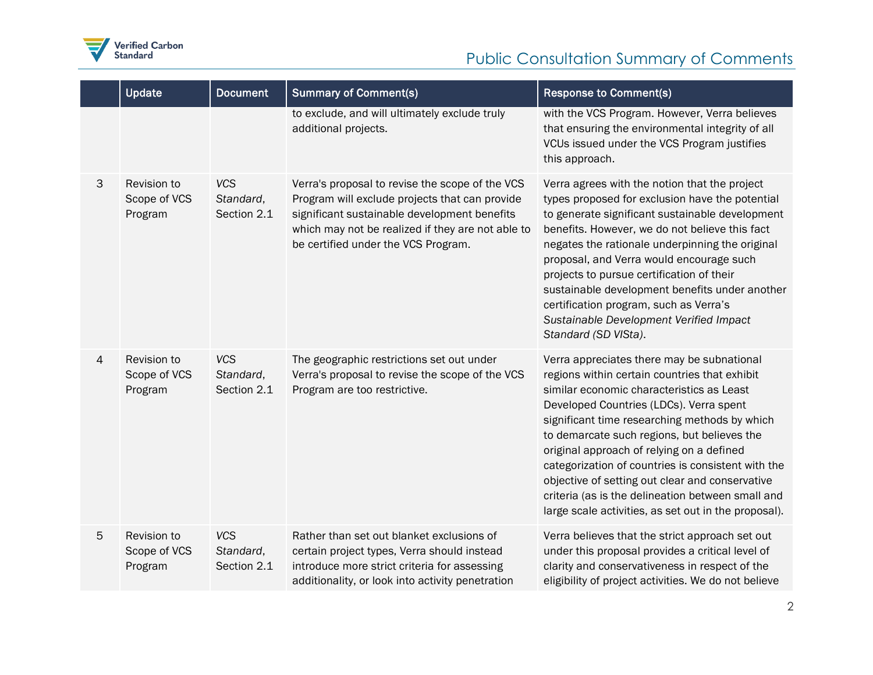

## Public Consultation Summary of Comments

|   | Update                                 | <b>Document</b>                        | <b>Summary of Comment(s)</b>                                                                                                                                                                                                                  | <b>Response to Comment(s)</b>                                                                                                                                                                                                                                                                                                                                                                                                                                                                                                                          |
|---|----------------------------------------|----------------------------------------|-----------------------------------------------------------------------------------------------------------------------------------------------------------------------------------------------------------------------------------------------|--------------------------------------------------------------------------------------------------------------------------------------------------------------------------------------------------------------------------------------------------------------------------------------------------------------------------------------------------------------------------------------------------------------------------------------------------------------------------------------------------------------------------------------------------------|
|   |                                        |                                        | to exclude, and will ultimately exclude truly<br>additional projects.                                                                                                                                                                         | with the VCS Program. However, Verra believes<br>that ensuring the environmental integrity of all<br>VCUs issued under the VCS Program justifies<br>this approach.                                                                                                                                                                                                                                                                                                                                                                                     |
| 3 | Revision to<br>Scope of VCS<br>Program | <b>VCS</b><br>Standard,<br>Section 2.1 | Verra's proposal to revise the scope of the VCS<br>Program will exclude projects that can provide<br>significant sustainable development benefits<br>which may not be realized if they are not able to<br>be certified under the VCS Program. | Verra agrees with the notion that the project<br>types proposed for exclusion have the potential<br>to generate significant sustainable development<br>benefits. However, we do not believe this fact<br>negates the rationale underpinning the original<br>proposal, and Verra would encourage such<br>projects to pursue certification of their<br>sustainable development benefits under another<br>certification program, such as Verra's<br>Sustainable Development Verified Impact<br>Standard (SD VISta).                                       |
| 4 | Revision to<br>Scope of VCS<br>Program | <b>VCS</b><br>Standard,<br>Section 2.1 | The geographic restrictions set out under<br>Verra's proposal to revise the scope of the VCS<br>Program are too restrictive.                                                                                                                  | Verra appreciates there may be subnational<br>regions within certain countries that exhibit<br>similar economic characteristics as Least<br>Developed Countries (LDCs). Verra spent<br>significant time researching methods by which<br>to demarcate such regions, but believes the<br>original approach of relying on a defined<br>categorization of countries is consistent with the<br>objective of setting out clear and conservative<br>criteria (as is the delineation between small and<br>large scale activities, as set out in the proposal). |
| 5 | Revision to<br>Scope of VCS<br>Program | <b>VCS</b><br>Standard,<br>Section 2.1 | Rather than set out blanket exclusions of<br>certain project types, Verra should instead<br>introduce more strict criteria for assessing<br>additionality, or look into activity penetration                                                  | Verra believes that the strict approach set out<br>under this proposal provides a critical level of<br>clarity and conservativeness in respect of the<br>eligibility of project activities. We do not believe                                                                                                                                                                                                                                                                                                                                          |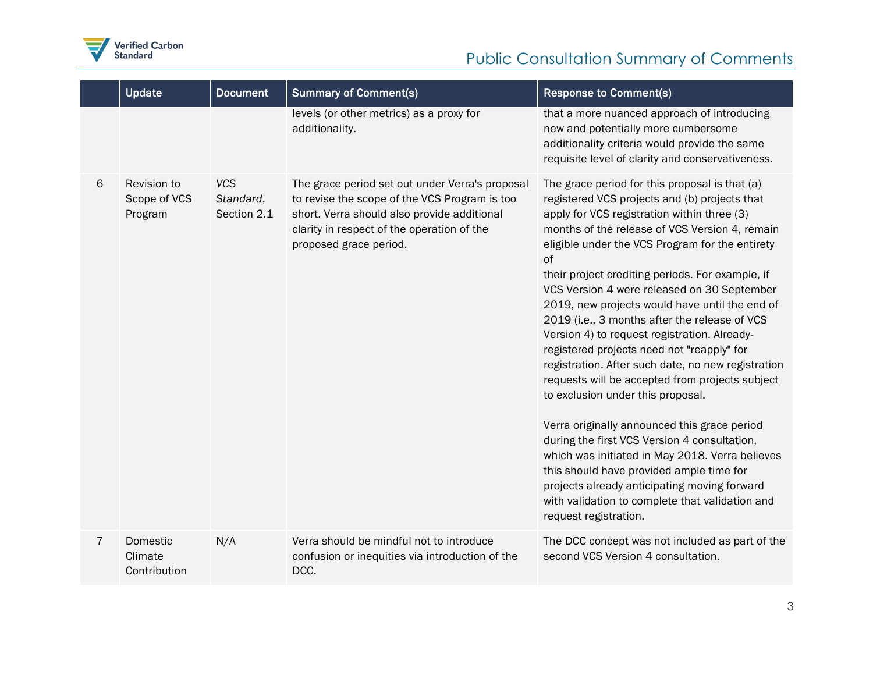

## Public Consultation Summary of Comments

|   | Update                                 | <b>Document</b>                        | <b>Summary of Comment(s)</b>                                                                                                                                                                                            | <b>Response to Comment(s)</b>                                                                                                                                                                                                                                                                                                                                                                                                                                                                                                                                                                                                                                                                                                                                                                                                                                                                                                                                                                                                          |
|---|----------------------------------------|----------------------------------------|-------------------------------------------------------------------------------------------------------------------------------------------------------------------------------------------------------------------------|----------------------------------------------------------------------------------------------------------------------------------------------------------------------------------------------------------------------------------------------------------------------------------------------------------------------------------------------------------------------------------------------------------------------------------------------------------------------------------------------------------------------------------------------------------------------------------------------------------------------------------------------------------------------------------------------------------------------------------------------------------------------------------------------------------------------------------------------------------------------------------------------------------------------------------------------------------------------------------------------------------------------------------------|
|   |                                        |                                        | levels (or other metrics) as a proxy for<br>additionality.                                                                                                                                                              | that a more nuanced approach of introducing<br>new and potentially more cumbersome<br>additionality criteria would provide the same<br>requisite level of clarity and conservativeness.                                                                                                                                                                                                                                                                                                                                                                                                                                                                                                                                                                                                                                                                                                                                                                                                                                                |
| 6 | Revision to<br>Scope of VCS<br>Program | <b>VCS</b><br>Standard,<br>Section 2.1 | The grace period set out under Verra's proposal<br>to revise the scope of the VCS Program is too<br>short. Verra should also provide additional<br>clarity in respect of the operation of the<br>proposed grace period. | The grace period for this proposal is that (a)<br>registered VCS projects and (b) projects that<br>apply for VCS registration within three (3)<br>months of the release of VCS Version 4, remain<br>eligible under the VCS Program for the entirety<br>of<br>their project crediting periods. For example, if<br>VCS Version 4 were released on 30 September<br>2019, new projects would have until the end of<br>2019 (i.e., 3 months after the release of VCS<br>Version 4) to request registration. Already-<br>registered projects need not "reapply" for<br>registration. After such date, no new registration<br>requests will be accepted from projects subject<br>to exclusion under this proposal.<br>Verra originally announced this grace period<br>during the first VCS Version 4 consultation,<br>which was initiated in May 2018. Verra believes<br>this should have provided ample time for<br>projects already anticipating moving forward<br>with validation to complete that validation and<br>request registration. |
| 7 | Domestic<br>Climate<br>Contribution    | N/A                                    | Verra should be mindful not to introduce<br>confusion or inequities via introduction of the<br>DCC.                                                                                                                     | The DCC concept was not included as part of the<br>second VCS Version 4 consultation.                                                                                                                                                                                                                                                                                                                                                                                                                                                                                                                                                                                                                                                                                                                                                                                                                                                                                                                                                  |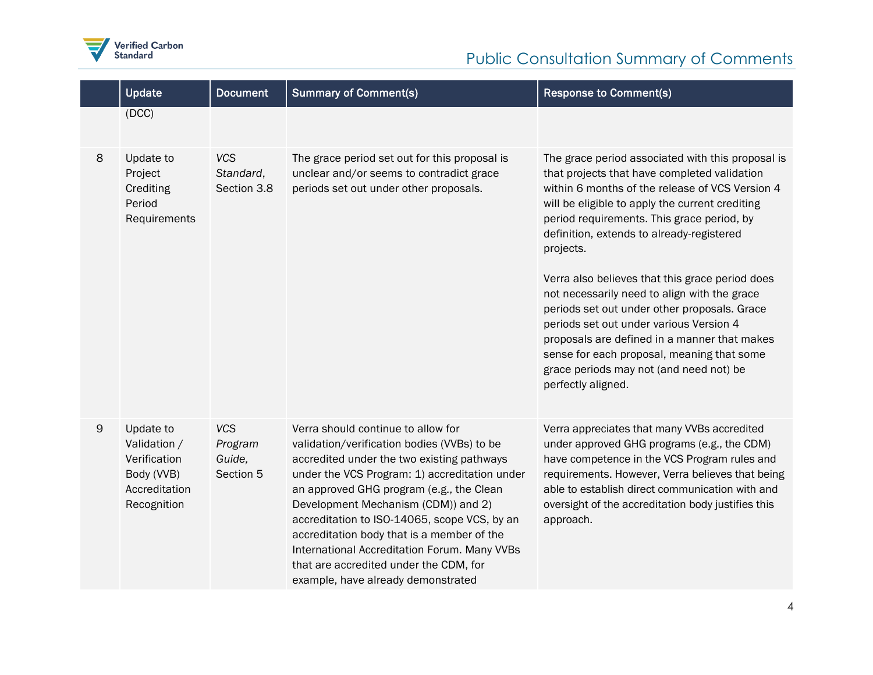

|   | Update                                                                                  | <b>Document</b>                              | <b>Summary of Comment(s)</b>                                                                                                                                                                                                                                                                                                                                                                                                                                                                      | <b>Response to Comment(s)</b>                                                                                                                                                                                                                                                                                                                                                                                                                                                                                                                                                                                                                                                |
|---|-----------------------------------------------------------------------------------------|----------------------------------------------|---------------------------------------------------------------------------------------------------------------------------------------------------------------------------------------------------------------------------------------------------------------------------------------------------------------------------------------------------------------------------------------------------------------------------------------------------------------------------------------------------|------------------------------------------------------------------------------------------------------------------------------------------------------------------------------------------------------------------------------------------------------------------------------------------------------------------------------------------------------------------------------------------------------------------------------------------------------------------------------------------------------------------------------------------------------------------------------------------------------------------------------------------------------------------------------|
|   | (DCC)                                                                                   |                                              |                                                                                                                                                                                                                                                                                                                                                                                                                                                                                                   |                                                                                                                                                                                                                                                                                                                                                                                                                                                                                                                                                                                                                                                                              |
| 8 | Update to<br>Project<br>Crediting<br>Period<br>Requirements                             | <b>VCS</b><br>Standard,<br>Section 3.8       | The grace period set out for this proposal is<br>unclear and/or seems to contradict grace<br>periods set out under other proposals.                                                                                                                                                                                                                                                                                                                                                               | The grace period associated with this proposal is<br>that projects that have completed validation<br>within 6 months of the release of VCS Version 4<br>will be eligible to apply the current crediting<br>period requirements. This grace period, by<br>definition, extends to already-registered<br>projects.<br>Verra also believes that this grace period does<br>not necessarily need to align with the grace<br>periods set out under other proposals. Grace<br>periods set out under various Version 4<br>proposals are defined in a manner that makes<br>sense for each proposal, meaning that some<br>grace periods may not (and need not) be<br>perfectly aligned. |
| 9 | Update to<br>Validation /<br>Verification<br>Body (VVB)<br>Accreditation<br>Recognition | <b>VCS</b><br>Program<br>Guide,<br>Section 5 | Verra should continue to allow for<br>validation/verification bodies (VVBs) to be<br>accredited under the two existing pathways<br>under the VCS Program: 1) accreditation under<br>an approved GHG program (e.g., the Clean<br>Development Mechanism (CDM)) and 2)<br>accreditation to ISO-14065, scope VCS, by an<br>accreditation body that is a member of the<br>International Accreditation Forum. Many VVBs<br>that are accredited under the CDM, for<br>example, have already demonstrated | Verra appreciates that many VVBs accredited<br>under approved GHG programs (e.g., the CDM)<br>have competence in the VCS Program rules and<br>requirements. However, Verra believes that being<br>able to establish direct communication with and<br>oversight of the accreditation body justifies this<br>approach.                                                                                                                                                                                                                                                                                                                                                         |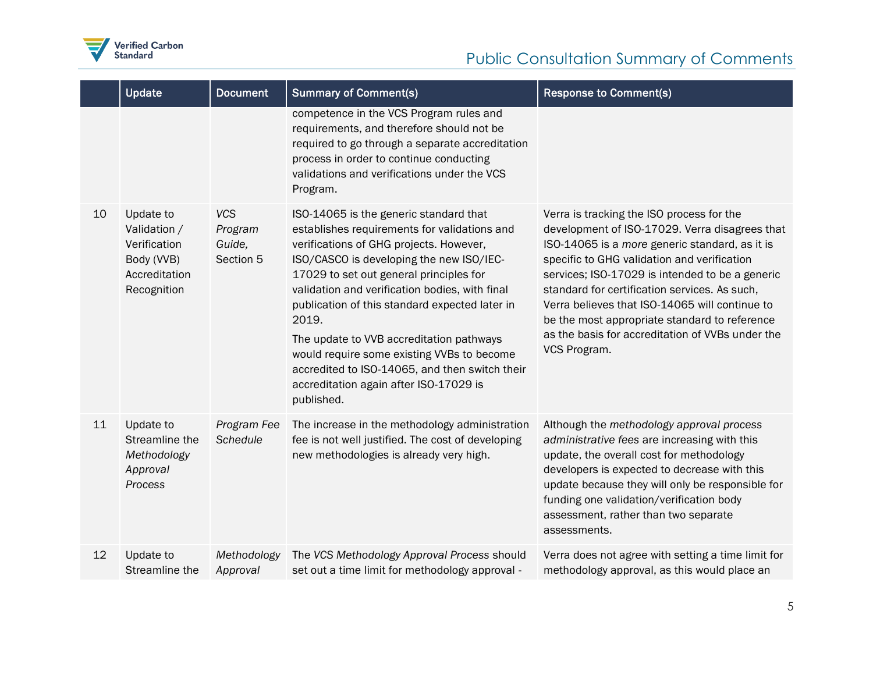

|    | <b>Update</b>                                                                           | <b>Document</b>                              | <b>Summary of Comment(s)</b>                                                                                                                                                                                                                                                                                                                                                                                                                                                                                                              | <b>Response to Comment(s)</b>                                                                                                                                                                                                                                                                                                                                                                                                                                           |
|----|-----------------------------------------------------------------------------------------|----------------------------------------------|-------------------------------------------------------------------------------------------------------------------------------------------------------------------------------------------------------------------------------------------------------------------------------------------------------------------------------------------------------------------------------------------------------------------------------------------------------------------------------------------------------------------------------------------|-------------------------------------------------------------------------------------------------------------------------------------------------------------------------------------------------------------------------------------------------------------------------------------------------------------------------------------------------------------------------------------------------------------------------------------------------------------------------|
|    |                                                                                         |                                              | competence in the VCS Program rules and<br>requirements, and therefore should not be<br>required to go through a separate accreditation<br>process in order to continue conducting<br>validations and verifications under the VCS<br>Program.                                                                                                                                                                                                                                                                                             |                                                                                                                                                                                                                                                                                                                                                                                                                                                                         |
| 10 | Update to<br>Validation /<br>Verification<br>Body (VVB)<br>Accreditation<br>Recognition | <b>VCS</b><br>Program<br>Guide,<br>Section 5 | ISO-14065 is the generic standard that<br>establishes requirements for validations and<br>verifications of GHG projects. However,<br>ISO/CASCO is developing the new ISO/IEC-<br>17029 to set out general principles for<br>validation and verification bodies, with final<br>publication of this standard expected later in<br>2019.<br>The update to VVB accreditation pathways<br>would require some existing VVBs to become<br>accredited to ISO-14065, and then switch their<br>accreditation again after ISO-17029 is<br>published. | Verra is tracking the ISO process for the<br>development of ISO-17029. Verra disagrees that<br>ISO-14065 is a more generic standard, as it is<br>specific to GHG validation and verification<br>services; ISO-17029 is intended to be a generic<br>standard for certification services. As such,<br>Verra believes that ISO-14065 will continue to<br>be the most appropriate standard to reference<br>as the basis for accreditation of VVBs under the<br>VCS Program. |
| 11 | Update to<br>Streamline the<br>Methodology<br>Approval<br>Process                       | Program Fee<br>Schedule                      | The increase in the methodology administration<br>fee is not well justified. The cost of developing<br>new methodologies is already very high.                                                                                                                                                                                                                                                                                                                                                                                            | Although the methodology approval process<br>administrative fees are increasing with this<br>update, the overall cost for methodology<br>developers is expected to decrease with this<br>update because they will only be responsible for<br>funding one validation/verification body<br>assessment, rather than two separate<br>assessments.                                                                                                                           |
| 12 | Update to<br>Streamline the                                                             | Methodology<br>Approval                      | The VCS Methodology Approval Process should<br>set out a time limit for methodology approval -                                                                                                                                                                                                                                                                                                                                                                                                                                            | Verra does not agree with setting a time limit for<br>methodology approval, as this would place an                                                                                                                                                                                                                                                                                                                                                                      |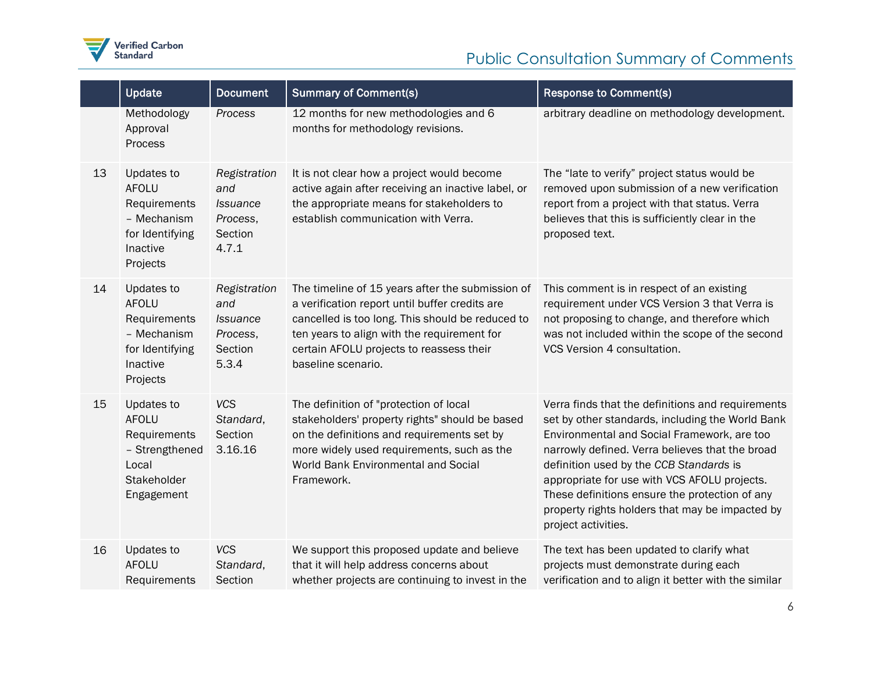

|    | Update                                                                                               | <b>Document</b>                                                        | <b>Summary of Comment(s)</b>                                                                                                                                                                                                                                            | <b>Response to Comment(s)</b>                                                                                                                                                                                                                                                                                                                                                                                                  |
|----|------------------------------------------------------------------------------------------------------|------------------------------------------------------------------------|-------------------------------------------------------------------------------------------------------------------------------------------------------------------------------------------------------------------------------------------------------------------------|--------------------------------------------------------------------------------------------------------------------------------------------------------------------------------------------------------------------------------------------------------------------------------------------------------------------------------------------------------------------------------------------------------------------------------|
|    | Methodology<br>Approval<br>Process                                                                   | Process                                                                | 12 months for new methodologies and 6<br>months for methodology revisions.                                                                                                                                                                                              | arbitrary deadline on methodology development.                                                                                                                                                                                                                                                                                                                                                                                 |
| 13 | Updates to<br><b>AFOLU</b><br>Requirements<br>- Mechanism<br>for Identifying<br>Inactive<br>Projects | Registration<br>and<br><b>Issuance</b><br>Process,<br>Section<br>4.7.1 | It is not clear how a project would become<br>active again after receiving an inactive label, or<br>the appropriate means for stakeholders to<br>establish communication with Verra.                                                                                    | The "late to verify" project status would be<br>removed upon submission of a new verification<br>report from a project with that status. Verra<br>believes that this is sufficiently clear in the<br>proposed text.                                                                                                                                                                                                            |
| 14 | Updates to<br><b>AFOLU</b><br>Requirements<br>- Mechanism<br>for Identifying<br>Inactive<br>Projects | Registration<br>and<br>Issuance<br>Process,<br>Section<br>5.3.4        | The timeline of 15 years after the submission of<br>a verification report until buffer credits are<br>cancelled is too long. This should be reduced to<br>ten years to align with the requirement for<br>certain AFOLU projects to reassess their<br>baseline scenario. | This comment is in respect of an existing<br>requirement under VCS Version 3 that Verra is<br>not proposing to change, and therefore which<br>was not included within the scope of the second<br>VCS Version 4 consultation.                                                                                                                                                                                                   |
| 15 | Updates to<br><b>AFOLU</b><br>Requirements<br>- Strengthened<br>Local<br>Stakeholder<br>Engagement   | <b>VCS</b><br>Standard,<br>Section<br>3.16.16                          | The definition of "protection of local<br>stakeholders' property rights" should be based<br>on the definitions and requirements set by<br>more widely used requirements, such as the<br>World Bank Environmental and Social<br>Framework.                               | Verra finds that the definitions and requirements<br>set by other standards, including the World Bank<br>Environmental and Social Framework, are too<br>narrowly defined. Verra believes that the broad<br>definition used by the CCB Standards is<br>appropriate for use with VCS AFOLU projects.<br>These definitions ensure the protection of any<br>property rights holders that may be impacted by<br>project activities. |
| 16 | Updates to<br><b>AFOLU</b><br>Requirements                                                           | <b>VCS</b><br>Standard,<br>Section                                     | We support this proposed update and believe<br>that it will help address concerns about<br>whether projects are continuing to invest in the                                                                                                                             | The text has been updated to clarify what<br>projects must demonstrate during each<br>verification and to align it better with the similar                                                                                                                                                                                                                                                                                     |